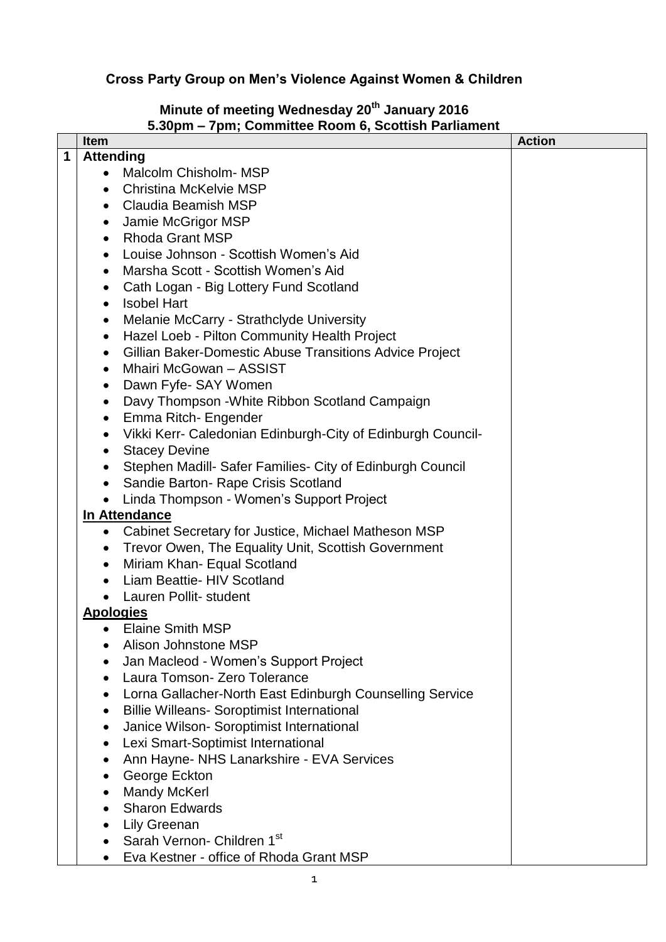## **Cross Party Group on Men's Violence Against Women & Children**

## **Minute of meeting Wednesday 20th January 2016 5.30pm – 7pm; Committee Room 6, Scottish Parliament**

|   | Item                                                                     | <b>Action</b> |
|---|--------------------------------------------------------------------------|---------------|
| 1 | <b>Attending</b>                                                         |               |
|   | Malcolm Chisholm-MSP<br>$\bullet$                                        |               |
|   | <b>Christina McKelvie MSP</b><br>$\bullet$                               |               |
|   | <b>Claudia Beamish MSP</b><br>$\bullet$                                  |               |
|   | Jamie McGrigor MSP<br>$\bullet$                                          |               |
|   | <b>Rhoda Grant MSP</b><br>$\bullet$                                      |               |
|   | Louise Johnson - Scottish Women's Aid<br>$\bullet$                       |               |
|   | Marsha Scott - Scottish Women's Aid<br>$\bullet$                         |               |
|   | Cath Logan - Big Lottery Fund Scotland<br>$\bullet$                      |               |
|   | <b>Isobel Hart</b><br>$\bullet$                                          |               |
|   | Melanie McCarry - Strathclyde University<br>$\bullet$                    |               |
|   | Hazel Loeb - Pilton Community Health Project<br>$\bullet$                |               |
|   | Gillian Baker-Domestic Abuse Transitions Advice Project<br>$\bullet$     |               |
|   | Mhairi McGowan - ASSIST<br>$\bullet$                                     |               |
|   | Dawn Fyfe- SAY Women<br>$\bullet$                                        |               |
|   | Davy Thompson - White Ribbon Scotland Campaign<br>$\bullet$              |               |
|   | Emma Ritch- Engender<br>$\bullet$                                        |               |
|   | Vikki Kerr- Caledonian Edinburgh-City of Edinburgh Council-<br>$\bullet$ |               |
|   | <b>Stacey Devine</b><br>$\bullet$                                        |               |
|   | Stephen Madill- Safer Families- City of Edinburgh Council<br>$\bullet$   |               |
|   | Sandie Barton- Rape Crisis Scotland<br>$\bullet$                         |               |
|   | Linda Thompson - Women's Support Project<br>$\bullet$                    |               |
|   | In Attendance                                                            |               |
|   | Cabinet Secretary for Justice, Michael Matheson MSP<br>$\bullet$         |               |
|   | Trevor Owen, The Equality Unit, Scottish Government<br>$\bullet$         |               |
|   | Miriam Khan- Equal Scotland<br>$\bullet$                                 |               |
|   | Liam Beattie- HIV Scotland                                               |               |
|   | Lauren Pollit- student<br>$\bullet$                                      |               |
|   | <b>Apologies</b>                                                         |               |
|   | Elaine Smith MSP                                                         |               |
|   | Alison Johnstone MSP                                                     |               |
|   | Jan Macleod - Women's Support Project                                    |               |
|   | Laura Tomson- Zero Tolerance                                             |               |
|   | Lorna Gallacher-North East Edinburgh Counselling Service                 |               |
|   | <b>Billie Willeans- Soroptimist International</b>                        |               |
|   | Janice Wilson- Soroptimist International                                 |               |
|   | Lexi Smart-Soptimist International                                       |               |
|   | Ann Hayne- NHS Lanarkshire - EVA Services                                |               |
|   | George Eckton                                                            |               |
|   | <b>Mandy McKerl</b><br><b>Sharon Edwards</b>                             |               |
|   |                                                                          |               |
|   | <b>Lily Greenan</b><br>Sarah Vernon- Children 1st                        |               |
|   |                                                                          |               |
|   | Eva Kestner - office of Rhoda Grant MSP                                  |               |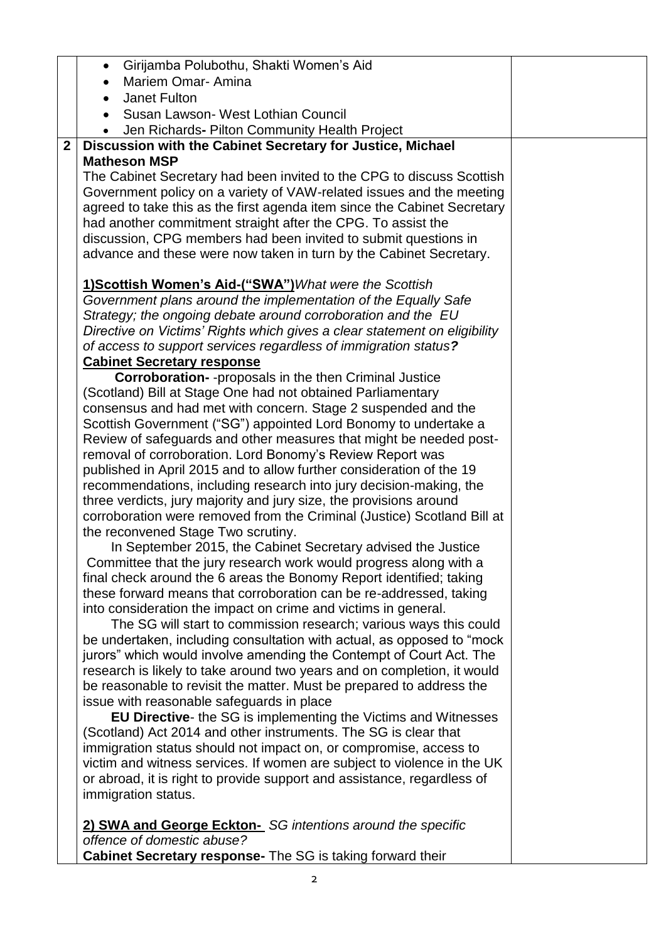| • Girijamba Polubothu, Shakti Women's Aid                                                                                                  |  |
|--------------------------------------------------------------------------------------------------------------------------------------------|--|
| <b>Mariem Omar-Amina</b>                                                                                                                   |  |
| Janet Fulton                                                                                                                               |  |
| Susan Lawson- West Lothian Council                                                                                                         |  |
| Jen Richards- Pilton Community Health Project                                                                                              |  |
| Discussion with the Cabinet Secretary for Justice, Michael                                                                                 |  |
| <b>Matheson MSP</b>                                                                                                                        |  |
| The Cabinet Secretary had been invited to the CPG to discuss Scottish                                                                      |  |
| Government policy on a variety of VAW-related issues and the meeting                                                                       |  |
| agreed to take this as the first agenda item since the Cabinet Secretary                                                                   |  |
| had another commitment straight after the CPG. To assist the                                                                               |  |
| discussion, CPG members had been invited to submit questions in                                                                            |  |
| advance and these were now taken in turn by the Cabinet Secretary.                                                                         |  |
| 1) Scottish Women's Aid-("SWA") What were the Scottish                                                                                     |  |
| Government plans around the implementation of the Equally Safe                                                                             |  |
| Strategy; the ongoing debate around corroboration and the EU                                                                               |  |
| Directive on Victims' Rights which gives a clear statement on eligibility                                                                  |  |
| of access to support services regardless of immigration status?                                                                            |  |
| <b>Cabinet Secretary response</b>                                                                                                          |  |
| <b>Corroboration-</b> -proposals in the then Criminal Justice                                                                              |  |
| (Scotland) Bill at Stage One had not obtained Parliamentary                                                                                |  |
| consensus and had met with concern. Stage 2 suspended and the                                                                              |  |
| Scottish Government ("SG") appointed Lord Bonomy to undertake a                                                                            |  |
| Review of safeguards and other measures that might be needed post-                                                                         |  |
| removal of corroboration. Lord Bonomy's Review Report was                                                                                  |  |
| published in April 2015 and to allow further consideration of the 19<br>recommendations, including research into jury decision-making, the |  |
| three verdicts, jury majority and jury size, the provisions around                                                                         |  |
| corroboration were removed from the Criminal (Justice) Scotland Bill at                                                                    |  |
| the reconvened Stage Two scrutiny.                                                                                                         |  |
| In September 2015, the Cabinet Secretary advised the Justice                                                                               |  |
| Committee that the jury research work would progress along with a                                                                          |  |
| final check around the 6 areas the Bonomy Report identified; taking                                                                        |  |
| these forward means that corroboration can be re-addressed, taking                                                                         |  |
| into consideration the impact on crime and victims in general.                                                                             |  |
| The SG will start to commission research; various ways this could                                                                          |  |
| be undertaken, including consultation with actual, as opposed to "mock                                                                     |  |
| jurors" which would involve amending the Contempt of Court Act. The                                                                        |  |
| research is likely to take around two years and on completion, it would                                                                    |  |
| be reasonable to revisit the matter. Must be prepared to address the                                                                       |  |
| issue with reasonable safeguards in place                                                                                                  |  |
| EU Directive- the SG is implementing the Victims and Witnesses                                                                             |  |
| (Scotland) Act 2014 and other instruments. The SG is clear that                                                                            |  |
| immigration status should not impact on, or compromise, access to                                                                          |  |
| victim and witness services. If women are subject to violence in the UK                                                                    |  |
| or abroad, it is right to provide support and assistance, regardless of                                                                    |  |
| immigration status.                                                                                                                        |  |
| 2) SWA and George Eckton- SG intentions around the specific                                                                                |  |
| offence of domestic abuse?                                                                                                                 |  |
| Cabinet Secretary response- The SG is taking forward their                                                                                 |  |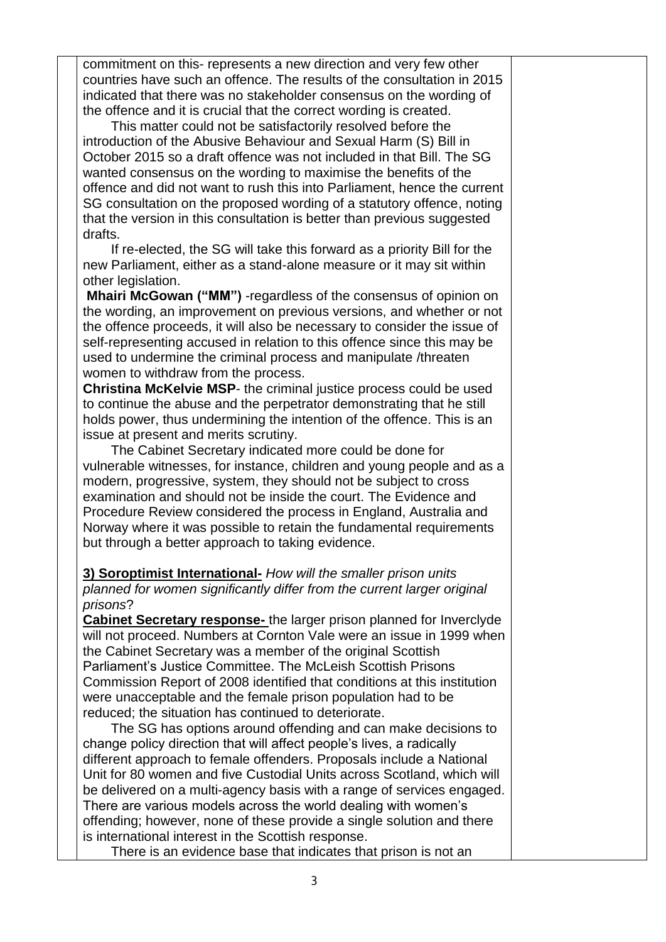commitment on this- represents a new direction and very few other countries have such an offence. The results of the consultation in 2015 indicated that there was no stakeholder consensus on the wording of the offence and it is crucial that the correct wording is created.

This matter could not be satisfactorily resolved before the introduction of the Abusive Behaviour and Sexual Harm (S) Bill in October 2015 so a draft offence was not included in that Bill. The SG wanted consensus on the wording to maximise the benefits of the offence and did not want to rush this into Parliament, hence the current SG consultation on the proposed wording of a statutory offence, noting that the version in this consultation is better than previous suggested drafts.

If re-elected, the SG will take this forward as a priority Bill for the new Parliament, either as a stand-alone measure or it may sit within other legislation.

**Mhairi McGowan ("MM")** -regardless of the consensus of opinion on the wording, an improvement on previous versions, and whether or not the offence proceeds, it will also be necessary to consider the issue of self-representing accused in relation to this offence since this may be used to undermine the criminal process and manipulate /threaten women to withdraw from the process.

**Christina McKelvie MSP**- the criminal justice process could be used to continue the abuse and the perpetrator demonstrating that he still holds power, thus undermining the intention of the offence. This is an issue at present and merits scrutiny.

The Cabinet Secretary indicated more could be done for vulnerable witnesses, for instance, children and young people and as a modern, progressive, system, they should not be subject to cross examination and should not be inside the court. The Evidence and Procedure Review considered the process in England, Australia and Norway where it was possible to retain the fundamental requirements but through a better approach to taking evidence.

## **3) Soroptimist International-** *How will the smaller prison units planned for women significantly differ from the current larger original prisons*?

**Cabinet Secretary response-** the larger prison planned for Inverclyde will not proceed. Numbers at Cornton Vale were an issue in 1999 when the Cabinet Secretary was a member of the original Scottish Parliament's Justice Committee. The McLeish Scottish Prisons Commission Report of 2008 identified that conditions at this institution were unacceptable and the female prison population had to be reduced; the situation has continued to deteriorate.

The SG has options around offending and can make decisions to change policy direction that will affect people's lives, a radically different approach to female offenders. Proposals include a National Unit for 80 women and five Custodial Units across Scotland, which will be delivered on a multi-agency basis with a range of services engaged. There are various models across the world dealing with women's offending; however, none of these provide a single solution and there is international interest in the Scottish response.

There is an evidence base that indicates that prison is not an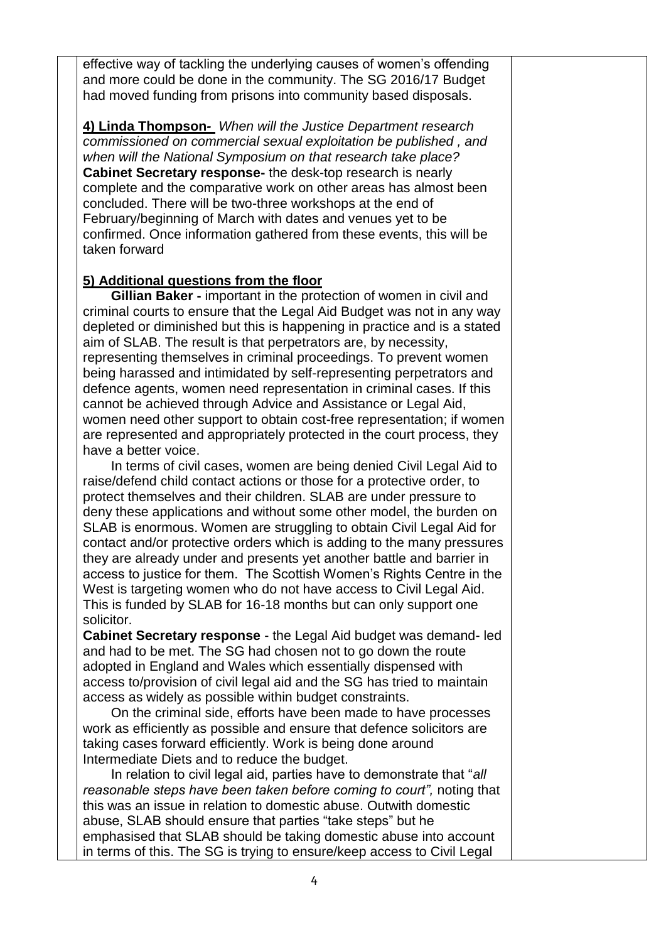effective way of tackling the underlying causes of women's offending and more could be done in the community. The SG 2016/17 Budget had moved funding from prisons into community based disposals.

**4) Linda Thompson***- When will the Justice Department research commissioned on commercial sexual exploitation be published , and when will the National Symposium on that research take place?* **Cabinet Secretary response-** the desk-top research is nearly complete and the comparative work on other areas has almost been concluded. There will be two-three workshops at the end of February/beginning of March with dates and venues yet to be confirmed. Once information gathered from these events, this will be taken forward

## **5) Additional questions from the floor**

**Gillian Baker -** important in the protection of women in civil and criminal courts to ensure that the Legal Aid Budget was not in any way depleted or diminished but this is happening in practice and is a stated aim of SLAB. The result is that perpetrators are, by necessity, representing themselves in criminal proceedings. To prevent women being harassed and intimidated by self-representing perpetrators and defence agents, women need representation in criminal cases. If this cannot be achieved through Advice and Assistance or Legal Aid, women need other support to obtain cost-free representation; if women are represented and appropriately protected in the court process, they have a better voice.

In terms of civil cases, women are being denied Civil Legal Aid to raise/defend child contact actions or those for a protective order, to protect themselves and their children. SLAB are under pressure to deny these applications and without some other model, the burden on SLAB is enormous. Women are struggling to obtain Civil Legal Aid for contact and/or protective orders which is adding to the many pressures they are already under and presents yet another battle and barrier in access to justice for them. The Scottish Women's Rights Centre in the West is targeting women who do not have access to Civil Legal Aid. This is funded by SLAB for 16-18 months but can only support one solicitor.

**Cabinet Secretary response** - the Legal Aid budget was demand- led and had to be met. The SG had chosen not to go down the route adopted in England and Wales which essentially dispensed with access to/provision of civil legal aid and the SG has tried to maintain access as widely as possible within budget constraints.

On the criminal side, efforts have been made to have processes work as efficiently as possible and ensure that defence solicitors are taking cases forward efficiently. Work is being done around Intermediate Diets and to reduce the budget.

In relation to civil legal aid, parties have to demonstrate that "*all reasonable steps have been taken before coming to court",* noting that this was an issue in relation to domestic abuse. Outwith domestic abuse, SLAB should ensure that parties "take steps" but he emphasised that SLAB should be taking domestic abuse into account in terms of this. The SG is trying to ensure/keep access to Civil Legal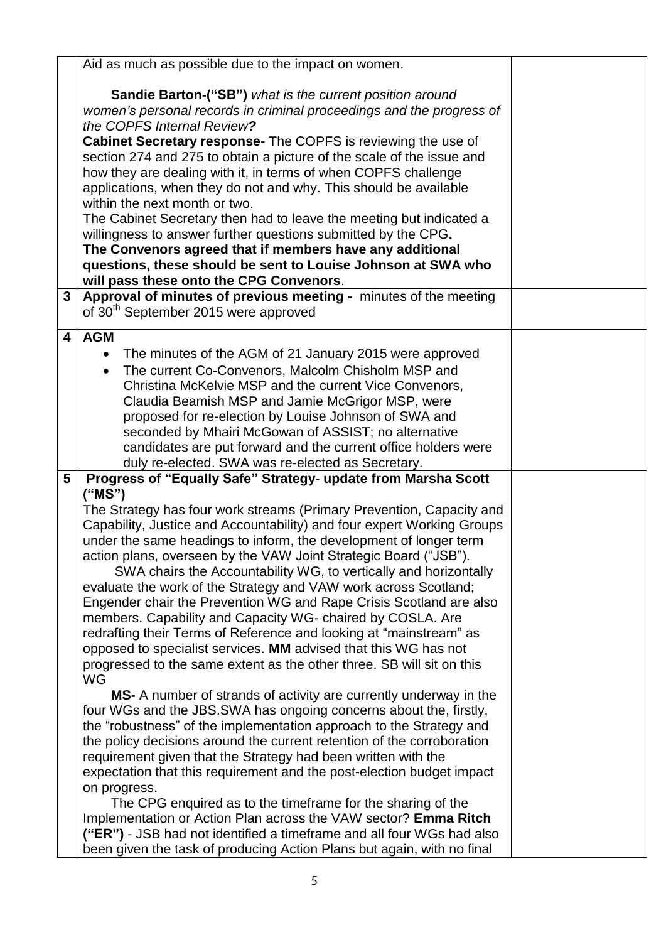|                 | Aid as much as possible due to the impact on women.                                                                                     |  |
|-----------------|-----------------------------------------------------------------------------------------------------------------------------------------|--|
|                 | <b>Sandie Barton-("SB")</b> what is the current position around                                                                         |  |
|                 | women's personal records in criminal proceedings and the progress of                                                                    |  |
|                 | the COPFS Internal Review?                                                                                                              |  |
|                 | <b>Cabinet Secretary response-</b> The COPFS is reviewing the use of                                                                    |  |
|                 | section 274 and 275 to obtain a picture of the scale of the issue and                                                                   |  |
|                 | how they are dealing with it, in terms of when COPFS challenge                                                                          |  |
|                 | applications, when they do not and why. This should be available                                                                        |  |
|                 | within the next month or two.                                                                                                           |  |
|                 | The Cabinet Secretary then had to leave the meeting but indicated a<br>willingness to answer further questions submitted by the CPG.    |  |
|                 | The Convenors agreed that if members have any additional                                                                                |  |
|                 | questions, these should be sent to Louise Johnson at SWA who                                                                            |  |
|                 | will pass these onto the CPG Convenors.                                                                                                 |  |
| 3               | Approval of minutes of previous meeting - minutes of the meeting                                                                        |  |
|                 | of 30 <sup>th</sup> September 2015 were approved                                                                                        |  |
| 4               | <b>AGM</b>                                                                                                                              |  |
|                 | The minutes of the AGM of 21 January 2015 were approved<br>$\bullet$                                                                    |  |
|                 | The current Co-Convenors, Malcolm Chisholm MSP and<br>$\bullet$                                                                         |  |
|                 | Christina McKelvie MSP and the current Vice Convenors,                                                                                  |  |
|                 | Claudia Beamish MSP and Jamie McGrigor MSP, were                                                                                        |  |
|                 | proposed for re-election by Louise Johnson of SWA and                                                                                   |  |
|                 | seconded by Mhairi McGowan of ASSIST; no alternative                                                                                    |  |
|                 | candidates are put forward and the current office holders were<br>duly re-elected. SWA was re-elected as Secretary.                     |  |
| $5\overline{)}$ | Progress of "Equally Safe" Strategy- update from Marsha Scott                                                                           |  |
|                 | ("MS")                                                                                                                                  |  |
|                 | The Strategy has four work streams (Primary Prevention, Capacity and                                                                    |  |
|                 | Capability, Justice and Accountability) and four expert Working Groups                                                                  |  |
|                 | under the same headings to inform, the development of longer term                                                                       |  |
|                 | action plans, overseen by the VAW Joint Strategic Board ("JSB").                                                                        |  |
|                 | SWA chairs the Accountability WG, to vertically and horizontally                                                                        |  |
|                 | evaluate the work of the Strategy and VAW work across Scotland;<br>Engender chair the Prevention WG and Rape Crisis Scotland are also   |  |
|                 | members. Capability and Capacity WG- chaired by COSLA. Are                                                                              |  |
|                 | redrafting their Terms of Reference and looking at "mainstream" as                                                                      |  |
|                 | opposed to specialist services. MM advised that this WG has not                                                                         |  |
|                 | progressed to the same extent as the other three. SB will sit on this                                                                   |  |
|                 | <b>WG</b>                                                                                                                               |  |
|                 | MS- A number of strands of activity are currently underway in the                                                                       |  |
|                 | four WGs and the JBS.SWA has ongoing concerns about the, firstly,                                                                       |  |
|                 | the "robustness" of the implementation approach to the Strategy and                                                                     |  |
|                 | the policy decisions around the current retention of the corroboration<br>requirement given that the Strategy had been written with the |  |
|                 | expectation that this requirement and the post-election budget impact                                                                   |  |
|                 | on progress.                                                                                                                            |  |
|                 | The CPG enquired as to the timeframe for the sharing of the                                                                             |  |
|                 | Implementation or Action Plan across the VAW sector? Emma Ritch                                                                         |  |
|                 | ("ER") - JSB had not identified a timeframe and all four WGs had also                                                                   |  |
|                 | been given the task of producing Action Plans but again, with no final                                                                  |  |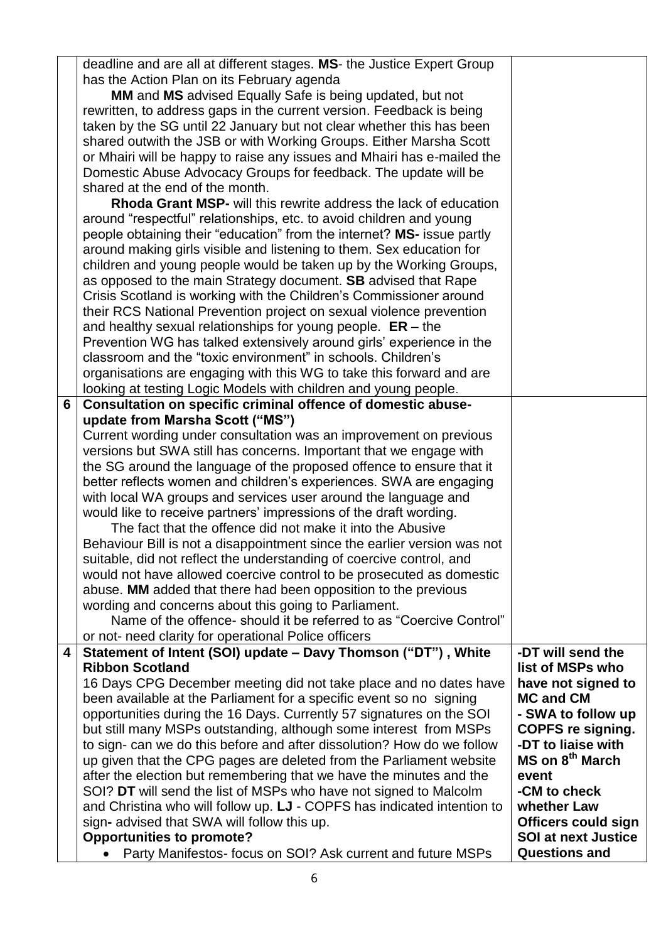|                         | deadline and are all at different stages. MS- the Justice Expert Group   |                             |
|-------------------------|--------------------------------------------------------------------------|-----------------------------|
|                         | has the Action Plan on its February agenda                               |                             |
|                         | MM and MS advised Equally Safe is being updated, but not                 |                             |
|                         | rewritten, to address gaps in the current version. Feedback is being     |                             |
|                         | taken by the SG until 22 January but not clear whether this has been     |                             |
|                         | shared outwith the JSB or with Working Groups. Either Marsha Scott       |                             |
|                         | or Mhairi will be happy to raise any issues and Mhairi has e-mailed the  |                             |
|                         | Domestic Abuse Advocacy Groups for feedback. The update will be          |                             |
|                         | shared at the end of the month.                                          |                             |
|                         | <b>Rhoda Grant MSP-</b> will this rewrite address the lack of education  |                             |
|                         | around "respectful" relationships, etc. to avoid children and young      |                             |
|                         | people obtaining their "education" from the internet? MS- issue partly   |                             |
|                         | around making girls visible and listening to them. Sex education for     |                             |
|                         | children and young people would be taken up by the Working Groups,       |                             |
|                         | as opposed to the main Strategy document. SB advised that Rape           |                             |
|                         | Crisis Scotland is working with the Children's Commissioner around       |                             |
|                         | their RCS National Prevention project on sexual violence prevention      |                             |
|                         | and healthy sexual relationships for young people. $ER - the$            |                             |
|                         | Prevention WG has talked extensively around girls' experience in the     |                             |
|                         | classroom and the "toxic environment" in schools. Children's             |                             |
|                         | organisations are engaging with this WG to take this forward and are     |                             |
|                         | looking at testing Logic Models with children and young people.          |                             |
| 6                       | Consultation on specific criminal offence of domestic abuse-             |                             |
|                         | update from Marsha Scott ("MS")                                          |                             |
|                         | Current wording under consultation was an improvement on previous        |                             |
|                         | versions but SWA still has concerns. Important that we engage with       |                             |
|                         | the SG around the language of the proposed offence to ensure that it     |                             |
|                         | better reflects women and children's experiences. SWA are engaging       |                             |
|                         | with local WA groups and services user around the language and           |                             |
|                         | would like to receive partners' impressions of the draft wording.        |                             |
|                         | The fact that the offence did not make it into the Abusive               |                             |
|                         | Behaviour Bill is not a disappointment since the earlier version was not |                             |
|                         | suitable, did not reflect the understanding of coercive control, and     |                             |
|                         | would not have allowed coercive control to be prosecuted as domestic     |                             |
|                         | abuse. MM added that there had been opposition to the previous           |                             |
|                         | wording and concerns about this going to Parliament.                     |                             |
|                         | Name of the offence-should it be referred to as "Coercive Control"       |                             |
|                         | or not- need clarity for operational Police officers                     |                             |
| $\overline{\mathbf{4}}$ | Statement of Intent (SOI) update - Davy Thomson ("DT"), White            | -DT will send the           |
|                         | <b>Ribbon Scotland</b>                                                   | list of MSPs who            |
|                         | 16 Days CPG December meeting did not take place and no dates have        | have not signed to          |
|                         | been available at the Parliament for a specific event so no signing      | <b>MC and CM</b>            |
|                         | opportunities during the 16 Days. Currently 57 signatures on the SOI     | - SWA to follow up          |
|                         | but still many MSPs outstanding, although some interest from MSPs        | <b>COPFS re signing.</b>    |
|                         | to sign- can we do this before and after dissolution? How do we follow   | -DT to liaise with          |
|                         | up given that the CPG pages are deleted from the Parliament website      | MS on 8 <sup>th</sup> March |
|                         | after the election but remembering that we have the minutes and the      | event                       |
|                         | SOI? DT will send the list of MSPs who have not signed to Malcolm        | -CM to check                |
|                         | and Christina who will follow up. LJ - COPFS has indicated intention to  | whether Law                 |
|                         | sign- advised that SWA will follow this up.                              | <b>Officers could sign</b>  |
|                         | <b>Opportunities to promote?</b>                                         | <b>SOI at next Justice</b>  |
|                         | Party Manifestos-focus on SOI? Ask current and future MSPs               | <b>Questions and</b>        |
|                         |                                                                          |                             |